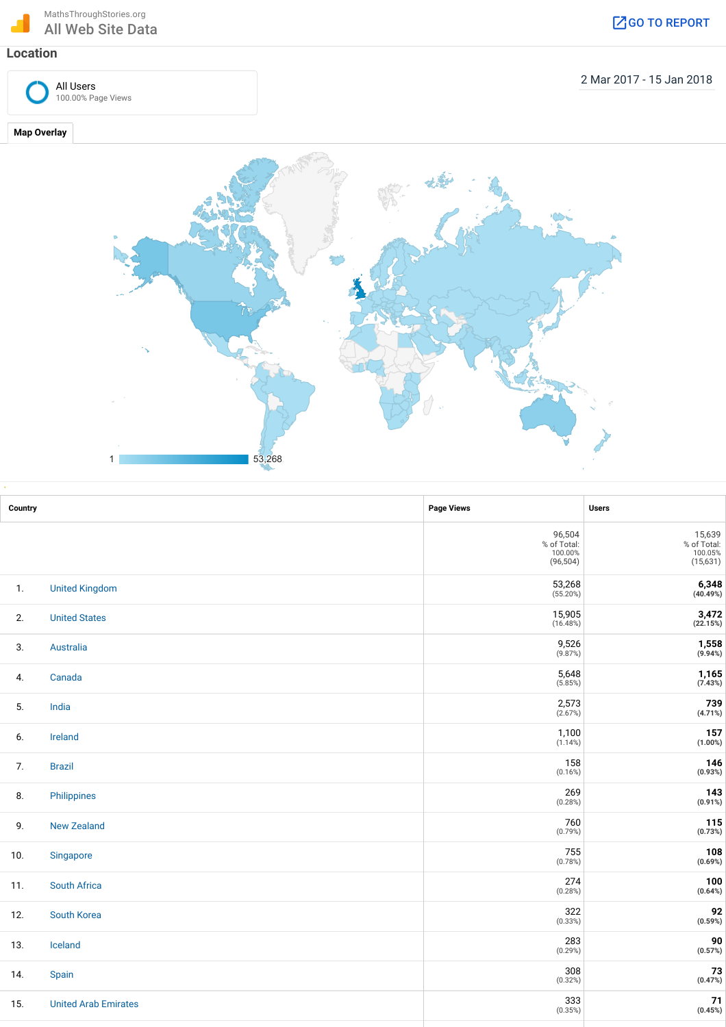100.00% Page Views

All Users

2 Mar 2017 - 15 Jan 2018

**Map Overlay**



| Country |                             | <b>Page Views</b>                             | <b>Users</b>                                                    |
|---------|-----------------------------|-----------------------------------------------|-----------------------------------------------------------------|
|         |                             | 96,504<br>% of Total:<br>100.00%<br>(96, 504) | 15,639<br>% of Total:<br>100.05%<br>(15, 631)                   |
| 1.      | <b>United Kingdom</b>       | 53,268<br>(55.20%)                            | $6,348$<br>(40.49%)                                             |
| 2.      | <b>United States</b>        | 15,905<br>(16.48%)                            | $\underset{\left(22.15\%\right)}{3,472}$                        |
| 3.      | Australia                   | 9,526<br>(9.87%)                              | $7,558$<br>(9.94%)                                              |
| 4.      | Canada                      | 5,648<br>(5.85%)                              | $7,165$<br>(7.43%)                                              |
| 5.      | India                       | 2,573<br>(2.67%)                              | 739<br>(4.71%)                                                  |
| 6.      | Ireland                     | 1,100<br>(1.14%)                              | 157<br>(1.00%)                                                  |
| 7.      | <b>Brazil</b>               | 158<br>(0.16%)                                | $\begin{array}{c} \textbf{146} \\ \textbf{(0.93%)} \end{array}$ |
| 8.      | Philippines                 | 269<br>(0.28%)                                | 143<br>(0.91%)                                                  |
| 9.      | <b>New Zealand</b>          | 760<br>(0.79%)                                | 115<br>(0.73%)                                                  |
| 10.     | Singapore                   | 755<br>(0.78%)                                | 108<br>(0.69%)                                                  |
| 11.     | <b>South Africa</b>         | 274<br>(0.28%)                                | 100<br>(0.64%)                                                  |
| 12.     | South Korea                 | 322<br>(0.33%)                                | $92 \atop (0.59\%)$                                             |
| 13.     | Iceland                     | 283<br>(0.29%)                                | $90$<br>(0.57%)                                                 |
| 14.     | Spain                       | 308<br>(0.32%)                                | ${\bf 73}$<br>(0.47%)                                           |
| 15.     | <b>United Arab Emirates</b> | 333<br>(0.35%)                                | 71<br>(0.45%)                                                   |
|         |                             |                                               |                                                                 |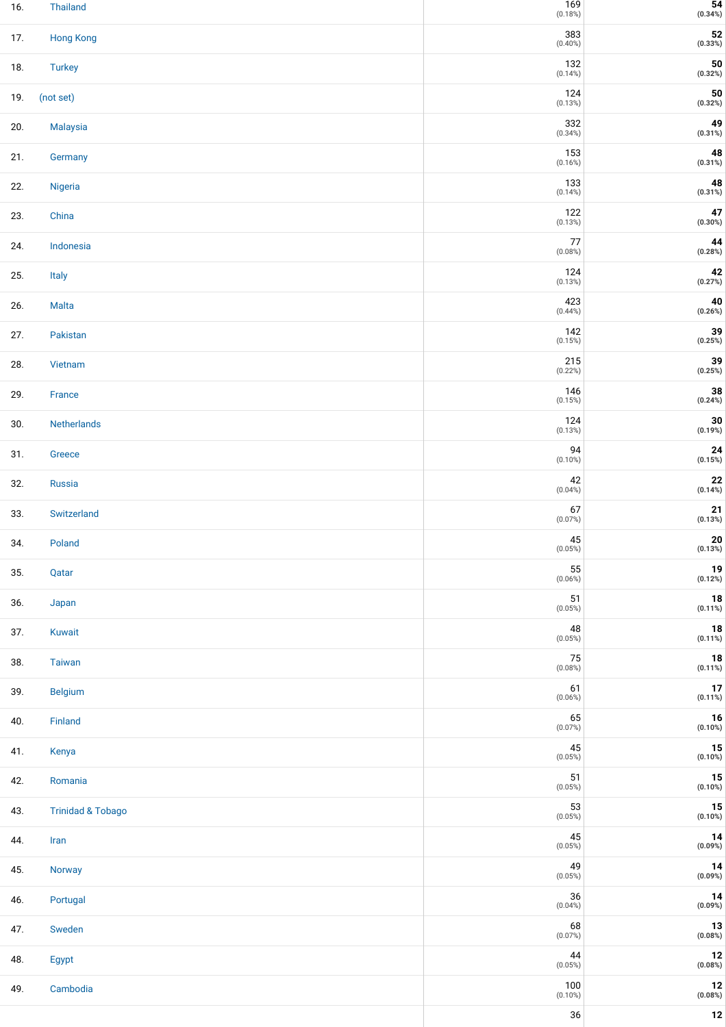| 16. | Thailand                     | $169$<br>(0.18%)      | $54$<br>(0.34%)                                                 |
|-----|------------------------------|-----------------------|-----------------------------------------------------------------|
| 17. | <b>Hong Kong</b>             | 383<br>$(0.40\%)$     | ${\bf 52}$<br>(0.33%)                                           |
| 18. | <b>Turkey</b>                | 132<br>(0.14%)        | ${\bf 50}$<br>(0.32%)                                           |
| 19. | (not set)                    | 124<br>(0.13%)        | $\begin{array}{c} {\bf 50}\\ (0.32\%) \end{array}$              |
| 20. | Malaysia                     | 332<br>$(0.34\%)$     | $\begin{array}{c} \textbf{49} \\ \textbf{(0.31%)} \end{array}$  |
| 21. | Germany                      | 153<br>(0.16%)        | $48$<br>(0.31%)                                                 |
| 22. | Nigeria                      | 133<br>(0.14%)        | 48<br>(0.31%)                                                   |
| 23. | China                        | 122<br>(0.13%)        | $\begin{array}{c} \textbf{47} \\ \textbf{(0.30%)} \end{array}$  |
| 24. | Indonesia                    | $77$<br>(0.08%)       | $\begin{array}{c} \textbf{44} \\ \textbf{(0.28%)} \end{array}$  |
| 25. | Italy                        | 124<br>(0.13%)        | $\begin{array}{c} \textbf{42} \\ \textbf{(0.27%)} \end{array}$  |
| 26. | Malta                        | 423<br>(0.44%)        | $\begin{array}{c} \textbf{40} \\ \textbf{(0.26%)} \end{array}$  |
| 27. | Pakistan                     | 142<br>(0.15%)        | $39$<br>(0.25%)                                                 |
| 28. | Vietnam                      | $215\,$<br>(0.22%)    | $39$<br>(0.25%)                                                 |
| 29. | France                       | 146<br>(0.15%)        | $38$<br>(0.24%)                                                 |
| 30. | Netherlands                  | 124<br>(0.13%)        | $\frac{30}{(0.19\%)}$                                           |
| 31. | Greece                       | 94<br>$(0.10\%)$      | $\begin{array}{c} \textbf{24} \\ \textbf{(0.15%)} \end{array}$  |
| 32. | Russia                       | 42<br>$(0.04\%)$      | ${\bf 22}$<br>(0.14%)                                           |
| 33. | Switzerland                  | 67<br>(0.07%)         | ${\bf 21}$<br>(0.13%)                                           |
| 34. | Poland                       | 45<br>(0.05%)         | ${\bf 20}$<br>(0.13%)                                           |
| 35. | Qatar                        | 55<br>(0.06%)         | $\begin{array}{c} \textbf{19} \\ \textbf{(0.12%)} \end{array}$  |
| 36. | Japan                        | 51<br>(0.05%)         | $\begin{array}{c} \textbf{18} \\ \textbf{(0.11%)} \end{array}$  |
| 37. | Kuwait                       | 48<br>(0.05%)         | $18$<br>(0.11%)                                                 |
| 38. | <b>Taiwan</b>                | $75\,$<br>(0.08%)     | $18$<br>(0.11%)                                                 |
| 39. | <b>Belgium</b>               | 61<br>(0.06%)         | $17$<br>(0.11%)                                                 |
| 40. | Finland                      | 65<br>(0.07%)         | $16$<br>(0.10%)                                                 |
| 41. | Kenya                        | 45<br>(0.05%)         | $\begin{array}{c} {\bf 15}\\ {\bf (0.10\%)} \end{array}$        |
| 42. | Romania                      | 51<br>(0.05%)         | $15$<br>(0.10%)                                                 |
| 43. | <b>Trinidad &amp; Tobago</b> | $53$<br>(0.05%)       | $\begin{array}{c} {\bf 15}\\ {\bf (0.10\%)} \end{array}$        |
| 44. | Iran                         | 45<br>(0.05%)         | $\begin{array}{c} \textbf{14} \\ \textbf{(0.09\%)} \end{array}$ |
| 45. | Norway                       | 49<br>(0.05%)         | $\begin{array}{c} \textbf{14} \\ \textbf{(0.09\%)} \end{array}$ |
| 46. | Portugal                     | 36<br>$(0.04\%)$      | $\begin{array}{c} \textbf{14} \\ \textbf{(0.09\%)} \end{array}$ |
| 47. | Sweden                       | 68<br>(0.07%)         | $13$<br>(0.08%)                                                 |
| 48. | Egypt                        | 44<br>(0.05%)         | $\begin{array}{c} \textbf{12} \\ \textbf{(0.08\%)} \end{array}$ |
| 49. | Cambodia                     | $100\,$<br>$(0.10\%)$ | $12\,$<br>(0.08%)                                               |
|     |                              | $36\,$                | ${\bf 12}$                                                      |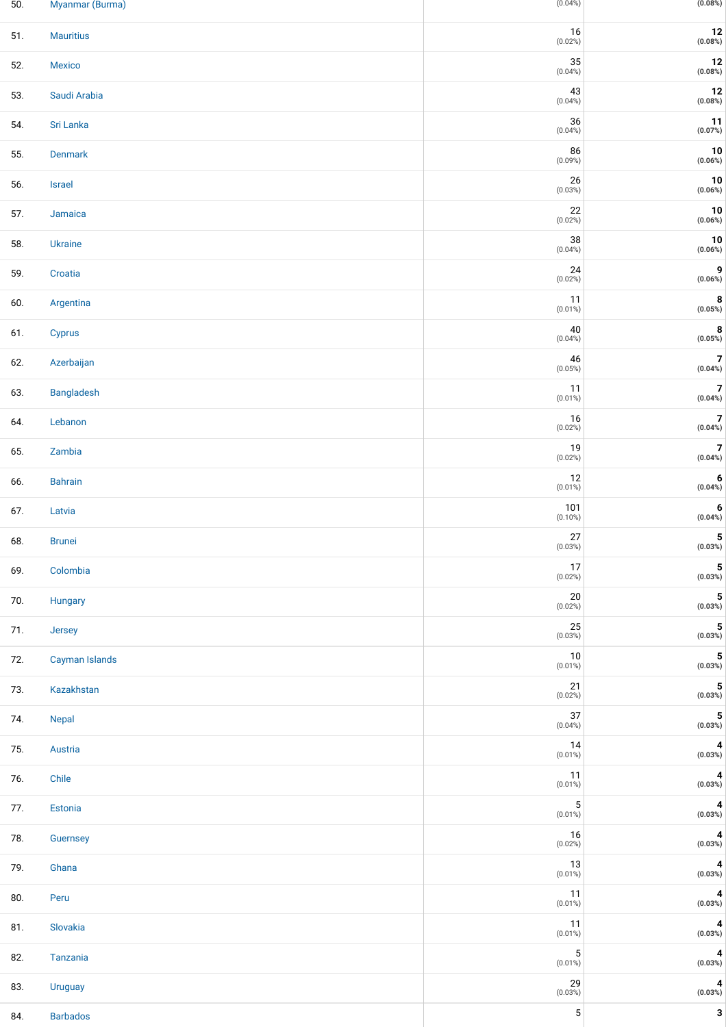| 50. | Myanmar (Burma)  | (0.04%)                   | (0.08%)                                                                  |
|-----|------------------|---------------------------|--------------------------------------------------------------------------|
| 51. | <b>Mauritius</b> | 16<br>(0.02%)             | $12\,$<br>(0.08%)                                                        |
| 52. | Mexico           | 35<br>$(0.04\%)$          | $\begin{array}{c} \textbf{12} \\ \textbf{(0.08%)} \end{array}$           |
| 53. | Saudi Arabia     | 43<br>$(0.04\%)$          | $\begin{array}{c} \textbf{12} \\ \textbf{(0.08%)} \end{array}$           |
| 54. | Sri Lanka        | $36\,$<br>(0.04%)         | $\begin{array}{c} \textbf{11} \\ \textbf{(0.07%)} \end{array}$           |
| 55. | Denmark          | 86<br>(0.09%)             | ${\bf 10}$<br>$(0.06\%)$                                                 |
| 56. | <b>Israel</b>    | 26<br>(0.03%)             | $\begin{array}{c} \textbf{10} \\ \textbf{(0.06%)} \end{array}$           |
| 57. | Jamaica          | 22<br>(0.02%)             | $\begin{array}{c} \textbf{10} \\ \textbf{(0.06%)} \end{array}$           |
| 58. | Ukraine          | 38<br>(0.04%)             | $\begin{array}{c} \textbf{10} \\ \textbf{(0.06%)} \end{array}$           |
| 59. | Croatia          | $24\,$<br>(0.02%)         | 9<br>(0.06%)                                                             |
| 60. | Argentina        | $11$<br>$(0.01\%)$        | $\begin{array}{c} \mathbf{8} \\ \text{(0.05%)} \end{array}$              |
| 61. | <b>Cyprus</b>    | 40<br>$(0.04\%)$          | $\begin{array}{c} \mathbf{8} \\ \text{(0.05%)} \end{array}$              |
| 62. | Azerbaijan       | 46<br>(0.05%)             | $7$<br>(0.04%)                                                           |
| 63. | Bangladesh       | $11$<br>$(0.01\%)$        | $\boldsymbol{7}$<br>(0.04%)                                              |
| 64. | Lebanon          | 16<br>(0.02%)             | $\overline{\mathbf{7}}$<br>(0.04%)                                       |
| 65. | Zambia           | 19<br>(0.02%)             | $\overline{\mathbf{7}}$<br>$(0.04\%)$                                    |
| 66. | <b>Bahrain</b>   | $12\,$<br>$(0.01\%)$      | 6<br>(0.04%)                                                             |
| 67. | Latvia           | 101<br>$(0.10\%)$         | 6<br>(0.04%)                                                             |
| 68. | <b>Brunei</b>    | 27<br>(0.03%)             | $\overline{\mathbf{5}}$<br>(0.03%)                                       |
| 69. | Colombia         | 17<br>(0.02%)             | 5<br>$(0.03\%)$                                                          |
| 70. | Hungary          | $20\,$<br>(0.02%)         | $\begin{array}{c} {\mathbf{5}}\ {\mathbf{0}}{\mathbf{.03\%}}\end{array}$ |
| 71. | Jersey           | 25<br>(0.03%)             | ${\bf 5}$<br>(0.03%)                                                     |
| 72. | Cayman Islands   | $10\,$<br>$(0.01\%)$      | 5<br>(0.03%)                                                             |
| 73. | Kazakhstan       | 21<br>$(0.02\%)$          | $\begin{array}{c} {\mathbf{5}}\\ (0.03\% ) \end{array}$                  |
| 74. | Nepal            | 37<br>$(0.04\%)$          | $\begin{array}{c} {\mathbf{5}}\ {\mathbf{0}}{\mathbf{.03\%}}\end{array}$ |
| 75. | Austria          | 14<br>$(0.01\%)$          | 4<br>(0.03%)                                                             |
| 76. | Chile            | $11$<br>$(0.01\%)$        | $\pmb{4}$<br>(0.03%)                                                     |
| 77. | Estonia          | $\mathbf 5$<br>$(0.01\%)$ | $\overline{\mathbf{4}}$<br>(0.03%)                                       |
| 78. | Guernsey         | $16$<br>(0.02%)           | $\pmb{4}$<br>(0.03%)                                                     |
| 79. | Ghana            | $13$<br>$(0.01\%)$        | $\overline{\mathbf{4}}$<br>(0.03%)                                       |
| 80. | Peru             | $11$<br>$(0.01\%)$        | $\overline{\mathbf{4}}$<br>(0.03%)                                       |
| 81. | Slovakia         | $11$<br>$(0.01\%)$        | $\pmb{4}$<br>(0.03%)                                                     |
| 82. | Tanzania         | $\mathbf 5$<br>$(0.01\%)$ | 4<br>(0.03%)                                                             |
| 83. | <b>Uruguay</b>   | 29<br>(0.03%)             | $\pmb{4}$<br>(0.03%)                                                     |
| 84. | <b>Barbados</b>  | $\mathbf 5$               | 3                                                                        |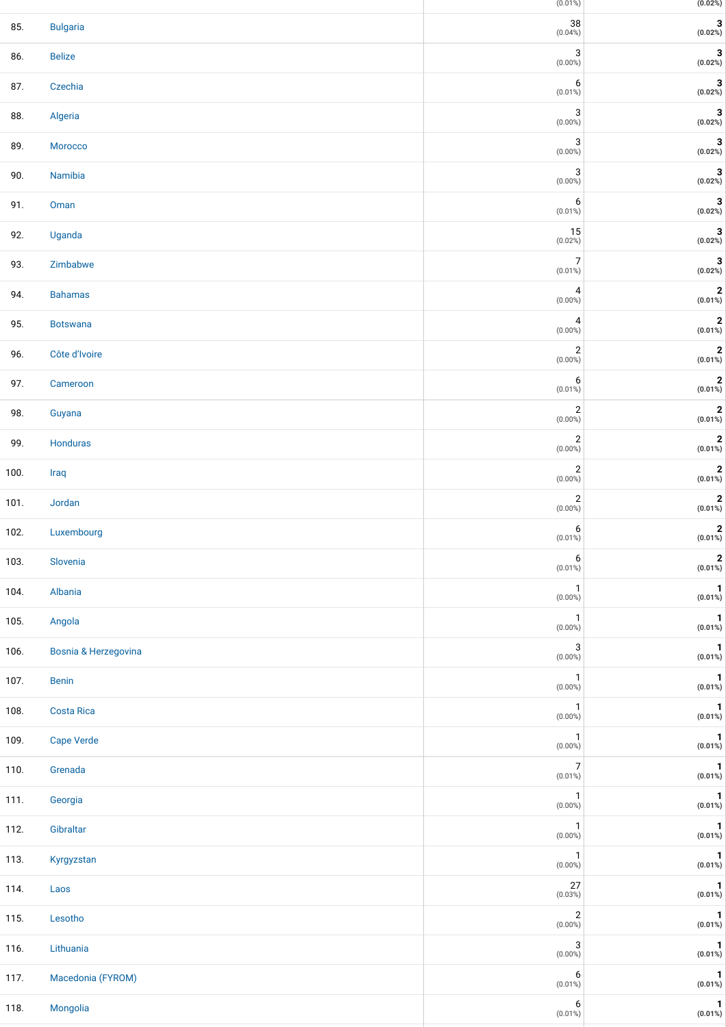|      |                      | $(0.01\%)$                              | (0.02%)                        |
|------|----------------------|-----------------------------------------|--------------------------------|
| 85.  | <b>Bulgaria</b>      | 38<br>(0.04%)                           | $\mathbf 3$<br>(0.02%)         |
| 86.  | <b>Belize</b>        | 3<br>$(0.00\%)$                         | $\mathbf 3$<br>(0.02%)         |
| 87.  | Czechia              | 6<br>$(0.01\%)$                         | 3<br>(0.02%)                   |
| 88.  | Algeria              | 3<br>$(0.00\%)$                         | 3<br>(0.02%)                   |
| 89.  | Morocco              | $\ensuremath{\mathsf{3}}$<br>$(0.00\%)$ | 3<br>(0.02%)                   |
| 90.  | Namibia              | 3<br>$(0.00\%)$                         | 3<br>(0.02%)                   |
| 91.  | Oman                 | 6<br>$(0.01\%)$                         | 3<br>(0.02%)                   |
| 92.  | Uganda               | 15<br>(0.02%)                           | 3<br>(0.02%)                   |
| 93.  | Zimbabwe             | 7<br>$(0.01\%)$                         | 3<br>(0.02%)                   |
| 94.  | <b>Bahamas</b>       | 4<br>$(0.00\%)$                         | $\bf 2$<br>$(0.01\%)$          |
| 95.  | <b>Botswana</b>      | 4<br>$(0.00\%)$                         | $\bf{2}$<br>$(0.01\%)$         |
| 96.  | Côte d'Ivoire        | $\sqrt{2}$<br>$(0.00\%)$                | $\bf{2}$<br>$(0.01\%)$         |
| 97.  | Cameroon             | 6<br>$(0.01\%)$                         | $\bf{2}$<br>$(0.01\%)$         |
| 98.  | Guyana               | $\sqrt{2}$<br>$(0.00\%)$                | $\mathbf 2$<br>$(0.01\%)$      |
| 99.  | Honduras             | $\sqrt{2}$<br>$(0.00\%)$                | $\bf{2}$<br>$(0.01\%)$         |
| 100. | Iraq                 | $\sqrt{2}$<br>$(0.00\%)$                | $\mathbf 2$<br>$(0.01\%)$      |
| 101. | Jordan               | $\overline{2}$<br>$(0.00\%)$            | $\mathbf 2$<br>$(0.01\%)$      |
| 102. | Luxembourg           | 6<br>$(0.01\%)$                         | $\mathbf 2$<br>$(0.01\%)$      |
| 103. | Slovenia             | 6<br>$(0.01\%)$                         | $\boldsymbol{2}$<br>$(0.01\%)$ |
| 104. | Albania              | $\mathbf{1}$<br>$(0.00\%)$              | $\mathbf{1}$<br>$(0.01\%)$     |
| 105. | Angola               | $\mathbf{1}$<br>$(0.00\%)$              | $\mathbf{1}$<br>$(0.01\%)$     |
| 106. | Bosnia & Herzegovina | 3<br>$(0.00\%)$                         | $\mathbf{1}$<br>$(0.01\%)$     |
| 107. | <b>Benin</b>         | $\mathbf{1}$<br>$(0.00\%)$              | $\mathbf{1}$<br>$(0.01\%)$     |
| 108. | <b>Costa Rica</b>    | $\mathbf{1}$<br>$(0.00\%)$              | $\mathbf{1}$<br>$(0.01\%)$     |
| 109. | <b>Cape Verde</b>    | $\mathbf{1}$<br>$(0.00\%)$              | $\mathbf{1}$<br>$(0.01\%)$     |
| 110. | Grenada              | $\overline{7}$<br>$(0.01\%)$            | $\mathbf{1}$<br>$(0.01\%)$     |
| 111. | Georgia              | $\mathbf{1}$<br>$(0.00\%)$              | 1<br>$(0.01\%)$                |
| 112. | Gibraltar            | $\mathbf{1}$<br>$(0.00\%)$              | $\mathbf{1}$<br>$(0.01\%)$     |
| 113. | Kyrgyzstan           | $\mathbf{1}$<br>$(0.00\%)$              | $\mathbf{1}$<br>$(0.01\%)$     |
| 114. | Laos                 | 27<br>(0.03%)                           | $\mathbf{1}$<br>$(0.01\%)$     |
| 115. | Lesotho              | $\sqrt{2}$<br>$(0.00\%)$                | $\mathbf{1}$<br>$(0.01\%)$     |
| 116. | Lithuania            | 3<br>$(0.00\%)$                         | $\mathbf{1}$<br>$(0.01\%)$     |
| 117. | Macedonia (FYROM)    | 6<br>$(0.01\%)$                         | $\mathbf{1}$<br>$(0.01\%)$     |
| 118. | Mongolia             | 6<br>$(0.01\%)$                         | $\mathbf{1}$<br>$(0.01\%)$     |
|      |                      |                                         |                                |